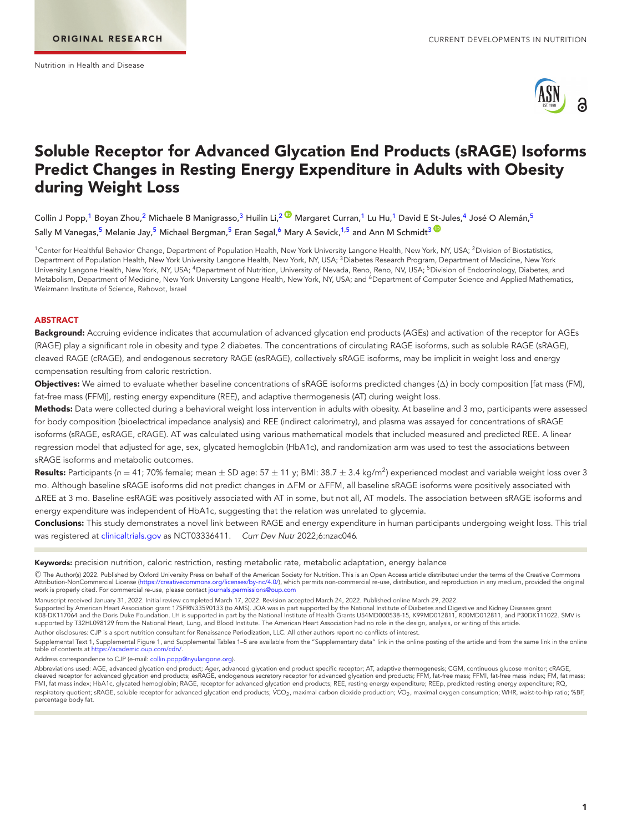<span id="page-0-5"></span><span id="page-0-4"></span><span id="page-0-2"></span><span id="page-0-1"></span>

# **Soluble Receptor for Advanced Glycation End Products (sRAGE) Isoforms Predict Changes in Resting Energy Expenditure in Adults with Obesity during Weight Loss**

Collin J Popp,<sup>1</sup> Boyan Zhou,<sup>[2](#page-0-1)</sup> Michaele B Manigrasso,<sup>3</sup> Huilin Li,<sup>2 M</sup> Margaret Curran,<sup>1</sup> Lu Hu,<sup>1</sup> David E St-Jules,<sup>[4](#page-0-3)</sup> José O Alemán,<sup>[5](#page-0-4)</sup> Sally M Vanegas,<sup>5</sup> Melanie Jay,<sup>5</sup> Michael Bergman,<sup>5</sup> Eran Segal,<sup>6</sup> Mary A Sevick,<sup>1[,5](#page-0-4)</sup> and Ann M Schmidt<sup>[3](#page-0-2)</sup>

<span id="page-0-3"></span><span id="page-0-0"></span><sup>1</sup>Center for Healthful Behavior Change, Department of Population Health, New York University Langone Health, New York, NY, USA; <sup>2</sup>Division of Biostatistics, Department of Population Health, New York University Langone Health, New York, NY, USA; <sup>3</sup>Diabetes Research Program, Department of Medicine, New York University Langone Health, New York, NY, USA; <sup>4</sup>Department of Nutrition, University of Nevada, Reno, Reno, NV, USA; <sup>5</sup>Division of Endocrinology, Diabetes, and Metabolism, Department of Medicine, New York University Langone Health, New York, NY, USA; and <sup>6</sup>Department of Computer Science and Applied Mathematics, Weizmann Institute of Science, Rehovot, Israel

## **ABSTRACT**

**Background:** Accruing evidence indicates that accumulation of advanced glycation end products (AGEs) and activation of the receptor for AGEs (RAGE) play a significant role in obesity and type 2 diabetes. The concentrations of circulating RAGE isoforms, such as soluble RAGE (sRAGE), cleaved RAGE (cRAGE), and endogenous secretory RAGE (esRAGE), collectively sRAGE isoforms, may be implicit in weight loss and energy compensation resulting from caloric restriction.

**Objectives:** We aimed to evaluate whether baseline concentrations of sRAGE isoforms predicted changes (Δ) in body composition [fat mass (FM), fat-free mass (FFM)], resting energy expenditure (REE), and adaptive thermogenesis (AT) during weight loss.

**Methods:** Data were collected during a behavioral weight loss intervention in adults with obesity. At baseline and 3 mo, participants were assessed for body composition (bioelectrical impedance analysis) and REE (indirect calorimetry), and plasma was assayed for concentrations of sRAGE isoforms (sRAGE, esRAGE, cRAGE). AT was calculated using various mathematical models that included measured and predicted REE. A linear regression model that adjusted for age, sex, glycated hemoglobin (HbA1c), and randomization arm was used to test the associations between sRAGE isoforms and metabolic outcomes.

**Results:** Participants (n = 41; 70% female; mean  $\pm$  SD age: 57  $\pm$  11 y; BMI: 38.7  $\pm$  3.4 kg/m<sup>2</sup>) experienced modest and variable weight loss over 3 mo. Although baseline sRAGE isoforms did not predict changes in ∆FM or ∆FFM, all baseline sRAGE isoforms were positively associated with -REE at 3 mo. Baseline esRAGE was positively associated with AT in some, but not all, AT models. The association between sRAGE isoforms and energy expenditure was independent of HbA1c, suggesting that the relation was unrelated to glycemia.

**Conclusions:** This study demonstrates a novel link between RAGE and energy expenditure in human participants undergoing weight loss. This trial was registered at [clinicaltrials.gov](http://clinicaltrials.gov) as NCT03336411. Curr Dev Nutr 2022;6:nzac046.

**Keywords:** precision nutrition, caloric restriction, resting metabolic rate, metabolic adaptation, energy balance

-C The Author(s) 2022. Published by Oxford University Press on behalf of the American Society for Nutrition. This is an Open Access article distributed under the terms of the Creative Commons Attribution-NonCommercial License [\(https://creativecommons.org/licenses/by-nc/4.0/\)](https://creativecommons.org/licenses/by-nc/4.0/), which permits non-commercial re-use, distribution, and reproduction in any medium, provided the original work is properly cited. For commercial re-use, please contact [journals.permissions@oup.com](mailto:journals.permissions@oup.com)

Manuscript received January 31, 2022. Initial review completed March 17, 2022. Revision accepted March 24, 2022. Published online March 29, 2022.

Supported by American Heart Association grant 17SFRN33590133 (to AMS). JOA was in part supported by the National Institute of Diabetes and Digestive and Kidney Diseases grant<br>K08-DK117064 and the Doris Duke Foundation. LH supported by T32HL098129 from the National Heart, Lung, and Blood Institute. The American Heart Association had no role in the design, analysis, or writing of this article.

Author disclosures: CJP is a sport nutrition consultant for Renaissance Periodization, LLC. All other authors report no conflicts of interest.

Supplemental Text 1, Supplemental Figure 1, and Supplemental Tables 1-5 are available from the "Supplementary data" link in the online posting of the article and from the same link in the online table of contents at [https://academic.oup.com/cdn/.](https://academic.oup.com/cdn/)

Address correspondence to CJP (e-mail: [collin.popp@nyulangone.org\)](mailto:collin.popp@nyulangone.org).

Abbreviations used: AGE, advanced glycation end product; Ager, advanced glycation end product specific receptor; AT, adaptive thermogenesis; CGM, continuous glucose monitor; cRAGE, cleaved receptor for advanced glycation end products; esRAGE, endogenous secretory receptor for advanced glycation end products; FFM, fat-free mass; FFMI, fat-free mass index; FM, fat mass;<br>FMI, fat mass index; HbA1c, glyc respiratory quotient; sRAGE, soluble receptor for advanced glycation end products; VCO<sub>2</sub>, maximal carbon dioxide production; VO<sub>2</sub>, maximal oxygen consumption; WHR, waist-to-hip ratio; %BF, percentage body fat.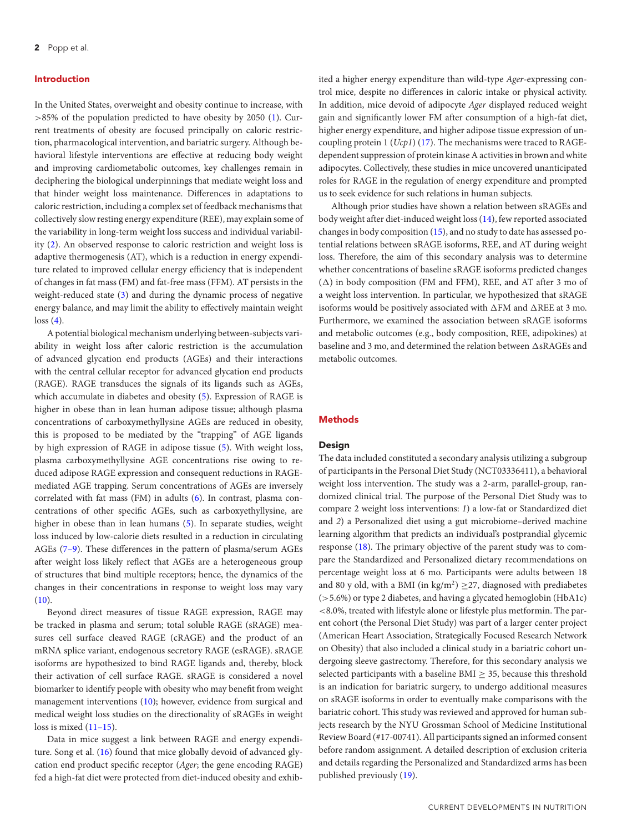## **Introduction**

In the United States, overweight and obesity continue to increase, with  $>85\%$  of the population predicted to have obesity by 2050 [\(1\)](#page-8-0). Current treatments of obesity are focused principally on caloric restriction, pharmacological intervention, and bariatric surgery. Although behavioral lifestyle interventions are effective at reducing body weight and improving cardiometabolic outcomes, key challenges remain in deciphering the biological underpinnings that mediate weight loss and that hinder weight loss maintenance. Differences in adaptations to caloric restriction, including a complex set of feedback mechanisms that collectively slow resting energy expenditure (REE), may explain some of the variability in long-term weight loss success and individual variability [\(2\)](#page-8-1). An observed response to caloric restriction and weight loss is adaptive thermogenesis (AT), which is a reduction in energy expenditure related to improved cellular energy efficiency that is independent of changes in fat mass (FM) and fat-free mass (FFM). AT persists in the weight-reduced state [\(3\)](#page-8-2) and during the dynamic process of negative energy balance, and may limit the ability to effectively maintain weight  $loss(4)$  $loss(4)$ .

A potential biological mechanism underlying between-subjects variability in weight loss after caloric restriction is the accumulation of advanced glycation end products (AGEs) and their interactions with the central cellular receptor for advanced glycation end products (RAGE). RAGE transduces the signals of its ligands such as AGEs, which accumulate in diabetes and obesity [\(5\)](#page-8-4). Expression of RAGE is higher in obese than in lean human adipose tissue; although plasma concentrations of carboxymethyllysine AGEs are reduced in obesity, this is proposed to be mediated by the "trapping" of AGE ligands by high expression of RAGE in adipose tissue [\(5\)](#page-8-4). With weight loss, plasma carboxymethyllysine AGE concentrations rise owing to reduced adipose RAGE expression and consequent reductions in RAGEmediated AGE trapping. Serum concentrations of AGEs are inversely correlated with fat mass (FM) in adults [\(6\)](#page-8-5). In contrast, plasma concentrations of other specific AGEs, such as carboxyethyllysine, are higher in obese than in lean humans [\(5\)](#page-8-4). In separate studies, weight loss induced by low-calorie diets resulted in a reduction in circulating AGEs [\(7–9\)](#page-8-6). These differences in the pattern of plasma/serum AGEs after weight loss likely reflect that AGEs are a heterogeneous group of structures that bind multiple receptors; hence, the dynamics of the changes in their concentrations in response to weight loss may vary  $(10).$  $(10).$ 

Beyond direct measures of tissue RAGE expression, RAGE may be tracked in plasma and serum; total soluble RAGE (sRAGE) measures cell surface cleaved RAGE (cRAGE) and the product of an mRNA splice variant, endogenous secretory RAGE (esRAGE). sRAGE isoforms are hypothesized to bind RAGE ligands and, thereby, block their activation of cell surface RAGE. sRAGE is considered a novel biomarker to identify people with obesity who may benefit from weight management interventions [\(10\)](#page-8-7); however, evidence from surgical and medical weight loss studies on the directionality of sRAGEs in weight loss is mixed  $(11–15)$ .

Data in mice suggest a link between RAGE and energy expenditure. Song et al. [\(16\)](#page-9-0) found that mice globally devoid of advanced glycation end product specific receptor (*Ager*; the gene encoding RAGE) fed a high-fat diet were protected from diet-induced obesity and exhibited a higher energy expenditure than wild-type *Ager*-expressing control mice, despite no differences in caloric intake or physical activity. In addition, mice devoid of adipocyte *Ager* displayed reduced weight gain and significantly lower FM after consumption of a high-fat diet, higher energy expenditure, and higher adipose tissue expression of uncoupling protein 1 (*Ucp1*) [\(17\)](#page-9-1). The mechanisms were traced to RAGEdependent suppression of protein kinase A activities in brown and white adipocytes. Collectively, these studies in mice uncovered unanticipated roles for RAGE in the regulation of energy expenditure and prompted us to seek evidence for such relations in human subjects.

Although prior studies have shown a relation between sRAGEs and body weight after diet-induced weight loss [\(14\)](#page-9-2), few reported associated changes in body composition [\(15\)](#page-9-3), and no study to date has assessed potential relations between sRAGE isoforms, REE, and AT during weight loss. Therefore, the aim of this secondary analysis was to determine whether concentrations of baseline sRAGE isoforms predicted changes  $(\Delta)$  in body composition (FM and FFM), REE, and AT after 3 mo of a weight loss intervention. In particular, we hypothesized that sRAGE isoforms would be positively associated with  $\Delta FM$  and  $\Delta REE$  at 3 mo. Furthermore, we examined the association between sRAGE isoforms and metabolic outcomes (e.g., body composition, REE, adipokines) at baseline and 3 mo, and determined the relation between  $\Delta$ s $\text{RAGEs}$  and metabolic outcomes.

# **Methods**

## **Design**

The data included constituted a secondary analysis utilizing a subgroup of participants in the Personal Diet Study (NCT03336411), a behavioral weight loss intervention. The study was a 2-arm, parallel-group, randomized clinical trial. The purpose of the Personal Diet Study was to compare 2 weight loss interventions: *1*) a low-fat or Standardized diet and *2*) a Personalized diet using a gut microbiome–derived machine learning algorithm that predicts an individual's postprandial glycemic response [\(18\)](#page-9-4). The primary objective of the parent study was to compare the Standardized and Personalized dietary recommendations on percentage weight loss at 6 mo. Participants were adults between 18 and 80 y old, with a BMI (in kg/m<sup>2</sup>)  $\geq$ 27, diagnosed with prediabetes (>5.6%) or type 2 diabetes, and having a glycated hemoglobin (HbA1c) <8.0%, treated with lifestyle alone or lifestyle plus metformin. The parent cohort (the Personal Diet Study) was part of a larger center project (American Heart Association, Strategically Focused Research Network on Obesity) that also included a clinical study in a bariatric cohort undergoing sleeve gastrectomy. Therefore, for this secondary analysis we selected participants with a baseline BMI  $\geq$  35, because this threshold is an indication for bariatric surgery, to undergo additional measures on sRAGE isoforms in order to eventually make comparisons with the bariatric cohort. This study was reviewed and approved for human subjects research by the NYU Grossman School of Medicine Institutional Review Board (#17-00741). All participants signed an informed consent before random assignment. A detailed description of exclusion criteria and details regarding the Personalized and Standardized arms has been published previously [\(19\)](#page-9-5).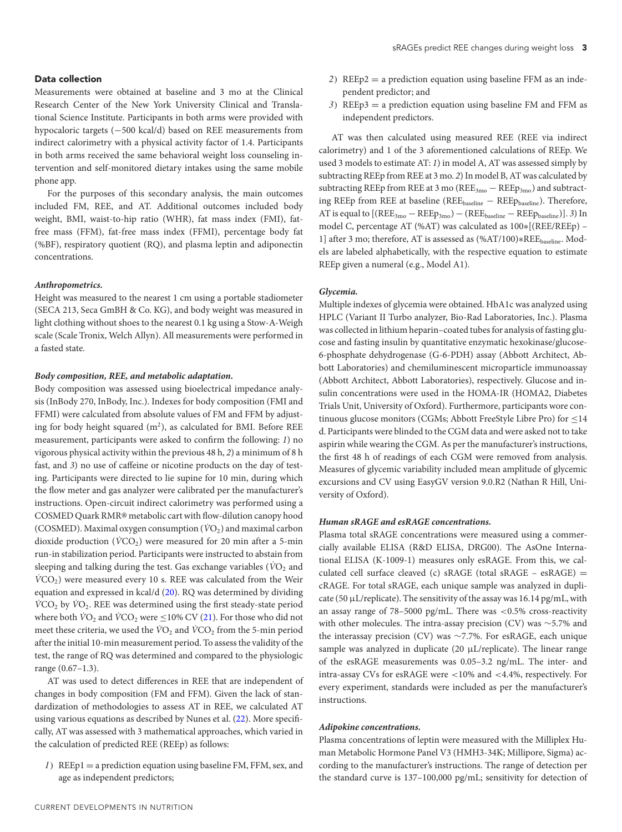# **Data collection**

Measurements were obtained at baseline and 3 mo at the Clinical Research Center of the New York University Clinical and Translational Science Institute. Participants in both arms were provided with hypocaloric targets (−500 kcal/d) based on REE measurements from indirect calorimetry with a physical activity factor of 1.4. Participants in both arms received the same behavioral weight loss counseling intervention and self-monitored dietary intakes using the same mobile phone app.

For the purposes of this secondary analysis, the main outcomes included FM, REE, and AT. Additional outcomes included body weight, BMI, waist-to-hip ratio (WHR), fat mass index (FMI), fatfree mass (FFM), fat-free mass index (FFMI), percentage body fat (%BF), respiratory quotient (RQ), and plasma leptin and adiponectin concentrations.

#### *Anthropometrics.*

Height was measured to the nearest 1 cm using a portable stadiometer (SECA 213, Seca GmBH & Co. KG), and body weight was measured in light clothing without shoes to the nearest 0.1 kg using a Stow-A-Weigh scale (Scale Tronix, Welch Allyn). All measurements were performed in a fasted state.

#### *Body composition, REE, and metabolic adaptation.*

Body composition was assessed using bioelectrical impedance analysis (InBody 270, InBody, Inc.). Indexes for body composition (FMI and FFMI) were calculated from absolute values of FM and FFM by adjusting for body height squared  $(m^2)$ , as calculated for BMI. Before REE measurement, participants were asked to confirm the following: *1*) no vigorous physical activity within the previous 48 h, *2*) a minimum of 8 h fast, and *3*) no use of caffeine or nicotine products on the day of testing. Participants were directed to lie supine for 10 min, during which the flow meter and gas analyzer were calibrated per the manufacturer's instructions. Open-circuit indirect calorimetry was performed using a COSMED Quark RMR® metabolic cart with flow-dilution canopy hood (COSMED). Maximal oxygen consumption  $(\dot{V}O_2)$  and maximal carbon dioxide production ( $\dot{V}CO_2$ ) were measured for 20 min after a 5-min run-in stabilization period. Participants were instructed to abstain from sleeping and talking during the test. Gas exchange variables ( $\dot{V}O_2$  and  $\dot{V}CO<sub>2</sub>$ ) were measured every 10 s. REE was calculated from the Weir equation and expressed in kcal/d [\(20\)](#page-9-6). RQ was determined by dividing *V*CO<sub>2</sub> by *V*O<sub>2</sub>. REE was determined using the first steady-state period where both  $\text{VO}_2$  and  $\text{VCO}_2$  were  $\leq$ 10% CV [\(21\)](#page-9-7). For those who did not meet these criteria, we used the  $\dot{V}O_2$  and  $\dot{V}CO_2$  from the 5-min period after the initial 10-min measurement period. To assess the validity of the test, the range of RQ was determined and compared to the physiologic range (0.67–1.3).

AT was used to detect differences in REE that are independent of changes in body composition (FM and FFM). Given the lack of standardization of methodologies to assess AT in REE, we calculated AT using various equations as described by Nunes et al. [\(22\)](#page-9-8). More specifically, AT was assessed with 3 mathematical approaches, which varied in the calculation of predicted REE (REEp) as follows:

*1*) REEp1 = a prediction equation using baseline FM, FFM, sex, and age as independent predictors;

- *2*) REEp2 = a prediction equation using baseline FFM as an independent predictor; and
- *3*) REEp3 = a prediction equation using baseline FM and FFM as independent predictors.

AT was then calculated using measured REE (REE via indirect calorimetry) and 1 of the 3 aforementioned calculations of REEp. We used 3 models to estimate AT: *1*) in model A, AT was assessed simply by subtracting REEp from REE at 3 mo. *2*) In model B, AT was calculated by subtracting REEp from REE at 3 mo ( $REE_{3mo} - REEp_{3mo}$ ) and subtracting REEp from REE at baseline (REEbaseline − REEpbaseline). Therefore, AT is equal to [(REE3mo − REEp3mo) − (REEbaseline − REEpbaseline)]. *3*) In model C, percentage AT (%AT) was calculated as 100∗[(REE/REEp) – 1] after 3 mo; therefore, AT is assessed as (%AT/100)∗REEbaseline. Models are labeled alphabetically, with the respective equation to estimate REEp given a numeral (e.g., Model A1).

#### *Glycemia.*

Multiple indexes of glycemia were obtained. HbA1c was analyzed using HPLC (Variant II Turbo analyzer, Bio-Rad Laboratories, Inc.). Plasma was collected in lithium heparin–coated tubes for analysis of fasting glucose and fasting insulin by quantitative enzymatic hexokinase/glucose-6-phosphate dehydrogenase (G-6-PDH) assay (Abbott Architect, Abbott Laboratories) and chemiluminescent microparticle immunoassay (Abbott Architect, Abbott Laboratories), respectively. Glucose and insulin concentrations were used in the HOMA-IR (HOMA2, Diabetes Trials Unit, University of Oxford). Furthermore, participants wore continuous glucose monitors (CGMs; Abbott FreeStyle Libre Pro) for  $\leq$ 14 d. Participants were blinded to the CGM data and were asked not to take aspirin while wearing the CGM. As per the manufacturer's instructions, the first 48 h of readings of each CGM were removed from analysis. Measures of glycemic variability included mean amplitude of glycemic excursions and CV using EasyGV version 9.0.R2 (Nathan R Hill, University of Oxford).

# *Human sRAGE and esRAGE concentrations.*

Plasma total sRAGE concentrations were measured using a commercially available ELISA (R&D ELISA, DRG00). The AsOne International ELISA (K-1009-1) measures only esRAGE. From this, we calculated cell surface cleaved (c)  $sRAGE$  (total  $sRAGE - esRAGE$ ) = cRAGE. For total sRAGE, each unique sample was analyzed in duplicate (50 μL/replicate). The sensitivity of the assay was 16.14 pg/mL, with an assay range of 78–5000 pg/mL. There was <0.5% cross-reactivity with other molecules. The intra-assay precision (CV) was ∼5.7% and the interassay precision (CV) was ∼7.7%. For esRAGE, each unique sample was analyzed in duplicate (20 μL/replicate). The linear range of the esRAGE measurements was 0.05–3.2 ng/mL. The inter- and intra-assay CVs for esRAGE were <10% and <4.4%, respectively. For every experiment, standards were included as per the manufacturer's instructions.

#### *Adipokine concentrations.*

Plasma concentrations of leptin were measured with the Milliplex Human Metabolic Hormone Panel V3 (HMH3-34K; Millipore, Sigma) according to the manufacturer's instructions. The range of detection per the standard curve is 137–100,000 pg/mL; sensitivity for detection of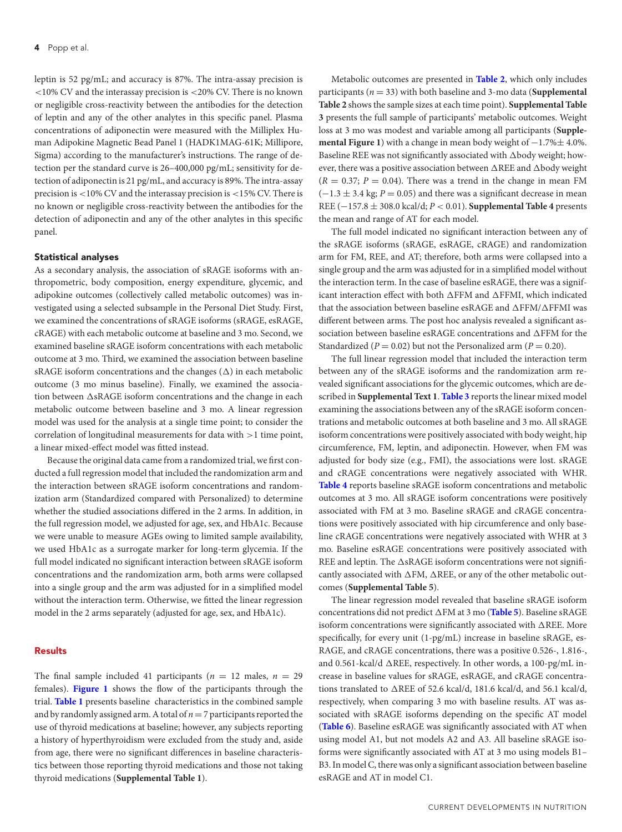leptin is 52 pg/mL; and accuracy is 87%. The intra-assay precision is <10% CV and the interassay precision is <20% CV. There is no known or negligible cross-reactivity between the antibodies for the detection of leptin and any of the other analytes in this specific panel. Plasma concentrations of adiponectin were measured with the Milliplex Human Adipokine Magnetic Bead Panel 1 (HADK1MAG-61K; Millipore, Sigma) according to the manufacturer's instructions. The range of detection per the standard curve is 26–400,000 pg/mL; sensitivity for detection of adiponectin is 21 pg/mL, and accuracy is 89%. The intra-assay precision is <10% CV and the interassay precision is <15% CV. There is no known or negligible cross-reactivity between the antibodies for the detection of adiponectin and any of the other analytes in this specific panel.

#### **Statistical analyses**

As a secondary analysis, the association of sRAGE isoforms with anthropometric, body composition, energy expenditure, glycemic, and adipokine outcomes (collectively called metabolic outcomes) was investigated using a selected subsample in the Personal Diet Study. First, we examined the concentrations of sRAGE isoforms (sRAGE, esRAGE, cRAGE) with each metabolic outcome at baseline and 3 mo. Second, we examined baseline sRAGE isoform concentrations with each metabolic outcome at 3 mo. Third, we examined the association between baseline sRAGE isoform concentrations and the changes ( $\Delta$ ) in each metabolic outcome (3 mo minus baseline). Finally, we examined the association between  $\Delta$ s $\text{RAGE}$  isoform concentrations and the change in each metabolic outcome between baseline and 3 mo. A linear regression model was used for the analysis at a single time point; to consider the correlation of longitudinal measurements for data with >1 time point, a linear mixed-effect model was fitted instead.

Because the original data came from a randomized trial, we first conducted a full regression model that included the randomization arm and the interaction between sRAGE isoform concentrations and randomization arm (Standardized compared with Personalized) to determine whether the studied associations differed in the 2 arms. In addition, in the full regression model, we adjusted for age, sex, and HbA1c. Because we were unable to measure AGEs owing to limited sample availability, we used HbA1c as a surrogate marker for long-term glycemia. If the full model indicated no significant interaction between sRAGE isoform concentrations and the randomization arm, both arms were collapsed into a single group and the arm was adjusted for in a simplified model without the interaction term. Otherwise, we fitted the linear regression model in the 2 arms separately (adjusted for age, sex, and HbA1c).

## **Results**

The final sample included 41 participants ( $n = 12$  males,  $n = 29$ females). **[Figure 1](#page-4-0)** shows the flow of the participants through the trial. **[Table 1](#page-4-1)** presents baseline characteristics in the combined sample and by randomly assigned arm. A total of *n*=7 participants reported the use of thyroid medications at baseline; however, any subjects reporting a history of hyperthyroidism were excluded from the study and, aside from age, there were no significant differences in baseline characteristics between those reporting thyroid medications and those not taking thyroid medications (**Supplemental Table 1**).

Metabolic outcomes are presented in **[Table 2](#page-5-0)**, which only includes participants (*n* = 33) with both baseline and 3-mo data (**Supplemental Table 2** shows the sample sizes at each time point). **Supplemental Table 3** presents the full sample of participants' metabolic outcomes. Weight loss at 3 mo was modest and variable among all participants (**Supplemental Figure 1**) with a change in mean body weight of  $-1.7\%$ ± 4.0%. Baseline REE was not significantly associated with  $\Delta$ body weight; however, there was a positive association between  $\Delta \text{REE}$  and  $\Delta \text{body}$  weight  $(R = 0.37; P = 0.04)$ . There was a trend in the change in mean FM  $(-1.3 \pm 3.4 \text{ kg}; P = 0.05)$  and there was a significant decrease in mean REE (−157.8 ± 308.0 kcal/d; *P* < 0.01). **Supplemental Table 4** presents the mean and range of AT for each model.

The full model indicated no significant interaction between any of the sRAGE isoforms (sRAGE, esRAGE, cRAGE) and randomization arm for FM, REE, and AT; therefore, both arms were collapsed into a single group and the arm was adjusted for in a simplified model without the interaction term. In the case of baseline esRAGE, there was a significant interaction effect with both  $\Delta$ FFM and  $\Delta$ FFMI, which indicated that the association between baseline esRAGE and  $\Delta$ FFM/ $\Delta$ FFMI was different between arms. The post hoc analysis revealed a significant association between baseline es $RAGE$  concentrations and  $\Delta$ FFM for the Standardized ( $P = 0.02$ ) but not the Personalized arm ( $P = 0.20$ ).

The full linear regression model that included the interaction term between any of the sRAGE isoforms and the randomization arm revealed significant associations for the glycemic outcomes, which are described in **Supplemental Text 1**. **[Table 3](#page-6-0)** reports the linear mixed model examining the associations between any of the sRAGE isoform concentrations and metabolic outcomes at both baseline and 3 mo. All sRAGE isoform concentrations were positively associated with body weight, hip circumference, FM, leptin, and adiponectin. However, when FM was adjusted for body size (e.g., FMI), the associations were lost. sRAGE and cRAGE concentrations were negatively associated with WHR. **[Table 4](#page-6-1)** reports baseline sRAGE isoform concentrations and metabolic outcomes at 3 mo. All sRAGE isoform concentrations were positively associated with FM at 3 mo. Baseline sRAGE and cRAGE concentrations were positively associated with hip circumference and only baseline cRAGE concentrations were negatively associated with WHR at 3 mo. Baseline esRAGE concentrations were positively associated with REE and leptin. The  $\Delta$ sRAGE isoform concentrations were not significantly associated with  $\Delta FM$ ,  $\Delta \text{REE}$ , or any of the other metabolic outcomes (**Supplemental Table 5**).

The linear regression model revealed that baseline sRAGE isoform concentrations did not predict  $\Delta FM$  at 3 mo ([Table 5](#page-7-0)). Baseline sRAGE isoform concentrations were significantly associated with  $\Delta \text{REE}$ . More specifically, for every unit (1-pg/mL) increase in baseline sRAGE, es-RAGE, and cRAGE concentrations, there was a positive 0.526-, 1.816-, and 0.561-kcal/d  $\triangle$ REE, respectively. In other words, a 100-pg/mL increase in baseline values for sRAGE, esRAGE, and cRAGE concentrations translated to  $\triangle$ REE of 52.6 kcal/d, 181.6 kcal/d, and 56.1 kcal/d, respectively, when comparing 3 mo with baseline results. AT was associated with sRAGE isoforms depending on the specific AT model (**[Table 6](#page-7-1)**). Baseline esRAGE was significantly associated with AT when using model A1, but not models A2 and A3. All baseline sRAGE isoforms were significantly associated with AT at 3 mo using models B1– B3. In model C, there was only a significant association between baseline esRAGE and AT in model C1.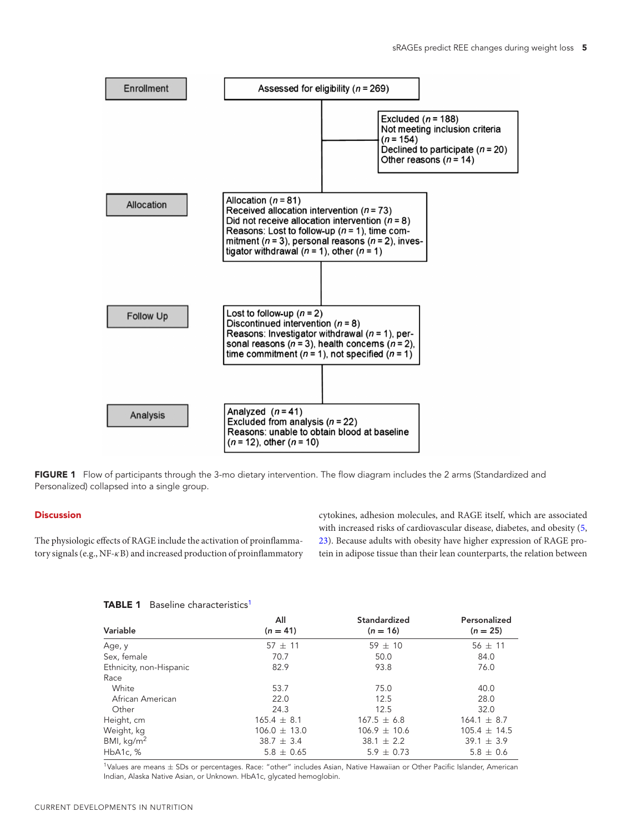<span id="page-4-0"></span>

FIGURE 1 Flow of participants through the 3-mo dietary intervention. The flow diagram includes the 2 arms (Standardized and Personalized) collapsed into a single group.

# **Discussion**

<span id="page-4-1"></span>The physiologic effects of RAGE include the activation of proinflammatory signals (e.g., NF-κB) and increased production of proinflammatory

cytokines, adhesion molecules, and RAGE itself, which are associated with increased risks of cardiovascular disease, diabetes, and obesity [\(5,](#page-8-4) [23\)](#page-9-9). Because adults with obesity have higher expression of RAGE protein in adipose tissue than their lean counterparts, the relation between

| <b>TABLE 1</b> Baseline characteristics <sup>1</sup> |  |
|------------------------------------------------------|--|
|------------------------------------------------------|--|

|                         | All              | Standardized     | Personalized     |
|-------------------------|------------------|------------------|------------------|
| Variable                | $(n = 41)$       | $(n = 16)$       | $(n = 25)$       |
| Age, y                  | $57 \pm 11$      | $59 \pm 10$      | $56 \pm 11$      |
| Sex, female             | 70.7             | 50.0             | 84.0             |
| Ethnicity, non-Hispanic | 82.9             | 93.8             | 76.0             |
| Race                    |                  |                  |                  |
| White                   | 53.7             | 75.0             | 40.0             |
| African American        | 22.0             | 12.5             | 28.0             |
| Other                   | 24.3             | 12.5             | 32.0             |
| Height, cm              | $165.4 \pm 8.1$  | $167.5 \pm 6.8$  | $164.1 \pm 8.7$  |
| Weight, kg              | $106.0 \pm 13.0$ | $106.9 \pm 10.6$ | $105.4 \pm 14.5$ |
| BMI, $kg/m2$            | $38.7 \pm 3.4$   | $38.1 \pm 2.2$   | $39.1 \pm 3.9$   |
| HbA1c, %                | $5.8 \pm 0.65$   | $5.9 \pm 0.73$   | $5.8 \pm 0.6$    |

 $1$ Values are means  $\pm$  SDs or percentages. Race: "other" includes Asian, Native Hawaiian or Other Pacific Islander, American Indian, Alaska Native Asian, or Unknown. HbA1c, glycated hemoglobin.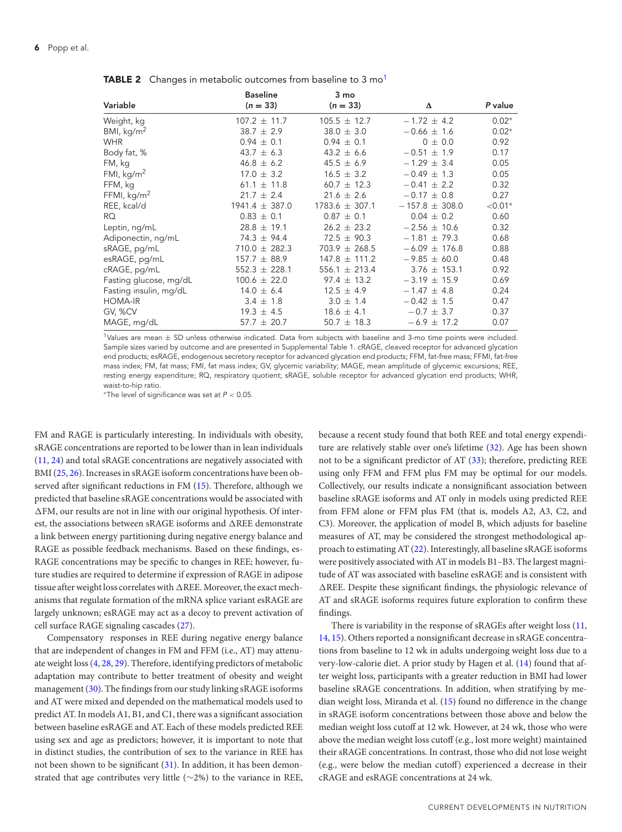#### <span id="page-5-0"></span>**6** Popp et al.

|                        | <b>Baseline</b>    | 3 mo               |                    |            |
|------------------------|--------------------|--------------------|--------------------|------------|
| Variable               | $(n = 33)$         | $(n = 33)$         | Δ                  | P value    |
| Weight, kg             | $107.2 \pm 11.7$   | $105.5 \pm 12.7$   | $-1.72 \pm 4.2$    | $0.02*$    |
| BMI, $kg/m2$           | $38.7 \pm 2.9$     | $38.0 \pm 3.0$     | $-0.66 \pm 1.6$    | $0.02*$    |
| <b>WHR</b>             | $0.94 \pm 0.1$     | $0.94 \pm 0.1$     | $0 \pm 0.0$        | 0.92       |
| Body fat, %            | 43.7 $\pm$ 6.3     | $43.2 \pm 6.6$     | $-0.51 \pm 1.9$    | 0.17       |
| FM, kg                 | $46.8 \pm 6.2$     | $45.5 \pm 6.9$     | $-1.29 \pm 3.4$    | 0.05       |
| FMI, $kg/m2$           | $17.0 \pm 3.2$     | $16.5 \pm 3.2$     | $-0.49 \pm 1.3$    | 0.05       |
| FFM, kg                | 61.1 $\pm$ 11.8    | $60.7 \pm 12.3$    | $-0.41 \pm 2.2$    | 0.32       |
| FFMI, $kg/m2$          | $21.7 \pm 2.4$     | $21.6 \pm 2.6$     | $-0.17 \pm 0.8$    | 0.27       |
| REE, kcal/d            | $1941.4 \pm 387.0$ | $1783.6 \pm 307.1$ | $-157.8 \pm 308.0$ | ${<}0.01*$ |
| RQ.                    | $0.83 \pm 0.1$     | $0.87 \pm 0.1$     | $0.04 \pm 0.2$     | 0.60       |
| Leptin, ng/mL          | $28.8 \pm 19.1$    | $26.2 \pm 23.2$    | $-2.56 \pm 10.6$   | 0.32       |
| Adiponectin, ng/mL     | $74.3 \pm 94.4$    | $72.5 \pm 90.3$    | $-1.81 \pm 79.3$   | 0.68       |
| sRAGE, pg/mL           | $710.0 \pm 282.3$  | $703.9 \pm 268.5$  | $-6.09 \pm 176.8$  | 0.88       |
| esRAGE, pg/mL          | $157.7 \pm 88.9$   | $147.8 \pm 111.2$  | $-9.85 \pm 60.0$   | 0.48       |
| cRAGE, pg/mL           | $552.3 \pm 228.1$  | 556.1 $\pm$ 213.4  | $3.76 \pm 153.1$   | 0.92       |
| Fasting glucose, mg/dL | $100.6 \pm 22.0$   | $97.4 \pm 13.2$    | $-3.19 \pm 15.9$   | 0.69       |
| Fasting insulin, mg/dL | $14.0 \pm 6.4$     | $12.5 \pm 4.9$     | $-1.47 \pm 4.8$    | 0.24       |
| <b>HOMA-IR</b>         | $3.4 \pm 1.8$      | $3.0 \pm 1.4$      | $-0.42 \pm 1.5$    | 0.47       |
| GV, %CV                | $19.3 \pm 4.5$     | $18.6 \pm 4.1$     | $-0.7 \pm 3.7$     | 0.37       |
| MAGE, mg/dL            | $57.7 \pm 20.7$    | $50.7 \pm 18.3$    | $-6.9 \pm 17.2$    | 0.07       |

**TABLE 2** Changes in metabolic outcomes from baseline to 3 mo<sup>1</sup>

1Values are mean <sup>±</sup> SD unless otherwise indicated. Data from subjects with baseline and 3-mo time points were included. Sample sizes varied by outcome and are presented in Supplemental Table 1. cRAGE, cleaved receptor for advanced glycation end products; esRAGE, endogenous secretory receptor for advanced glycation end products; FFM, fat-free mass; FFMI, fat-free mass index; FM, fat mass; FMI, fat mass index; GV, glycemic variability; MAGE, mean amplitude of glycemic excursions; REE, resting energy expenditure; RQ, respiratory quotient; sRAGE, soluble receptor for advanced glycation end products; WHR, waist-to-hip ratio.

\*The level of significance was set at  $P < 0.05$ .

FM and RAGE is particularly interesting. In individuals with obesity, sRAGE concentrations are reported to be lower than in lean individuals [\(11,](#page-8-8) [24\)](#page-9-10) and total sRAGE concentrations are negatively associated with BMI [\(25,](#page-9-11) [26\)](#page-9-12). Increases in sRAGE isoform concentrations have been observed after significant reductions in FM [\(15\)](#page-9-3). Therefore, although we predicted that baseline sRAGE concentrations would be associated with -FM, our results are not in line with our original hypothesis. Of interest, the associations between sRAGE isoforms and  $\Delta \text{REE}$  demonstrate a link between energy partitioning during negative energy balance and RAGE as possible feedback mechanisms. Based on these findings, es-RAGE concentrations may be specific to changes in REE; however, future studies are required to determine if expression of RAGE in adipose tissue after weight loss correlates with  $\Delta \text{REE. Moreover, the exact mech-}$ anisms that regulate formation of the mRNA splice variant esRAGE are largely unknown; esRAGE may act as a decoy to prevent activation of cell surface RAGE signaling cascades [\(27\)](#page-9-13).

Compensatory responses in REE during negative energy balance that are independent of changes in FM and FFM (i.e., AT) may attenuate weight loss [\(4,](#page-8-3) [28,](#page-9-14) [29\)](#page-9-15). Therefore, identifying predictors of metabolic adaptation may contribute to better treatment of obesity and weight management [\(30\)](#page-9-16). The findings from our study linking sRAGE isoforms and AT were mixed and depended on the mathematical models used to predict AT. In models A1, B1, and C1, there was a significant association between baseline esRAGE and AT. Each of these models predicted REE using sex and age as predictors; however, it is important to note that in distinct studies, the contribution of sex to the variance in REE has not been shown to be significant [\(31\)](#page-9-17). In addition, it has been demonstrated that age contributes very little (∼2%) to the variance in REE,

because a recent study found that both REE and total energy expenditure are relatively stable over one's lifetime [\(32\)](#page-9-18). Age has been shown not to be a significant predictor of AT [\(33\)](#page-9-19); therefore, predicting REE using only FFM and FFM plus FM may be optimal for our models. Collectively, our results indicate a nonsignificant association between baseline sRAGE isoforms and AT only in models using predicted REE from FFM alone or FFM plus FM (that is, models A2, A3, C2, and C3). Moreover, the application of model B, which adjusts for baseline measures of AT, may be considered the strongest methodological approach to estimating AT [\(22\)](#page-9-8). Interestingly, all baseline sRAGE isoforms were positively associated with AT in models B1–B3. The largest magnitude of AT was associated with baseline esRAGE and is consistent with -REE. Despite these significant findings, the physiologic relevance of AT and sRAGE isoforms requires future exploration to confirm these findings.

There is variability in the response of sRAGEs after weight loss [\(11,](#page-8-8) [14,](#page-9-2) [15\)](#page-9-3). Others reported a nonsignificant decrease in sRAGE concentrations from baseline to 12 wk in adults undergoing weight loss due to a very-low-calorie diet. A prior study by Hagen et al. [\(14\)](#page-9-2) found that after weight loss, participants with a greater reduction in BMI had lower baseline sRAGE concentrations. In addition, when stratifying by median weight loss, Miranda et al. [\(15\)](#page-9-3) found no difference in the change in sRAGE isoform concentrations between those above and below the median weight loss cutoff at 12 wk. However, at 24 wk, those who were above the median weight loss cutoff (e.g., lost more weight) maintained their sRAGE concentrations. In contrast, those who did not lose weight (e.g., were below the median cutoff) experienced a decrease in their cRAGE and esRAGE concentrations at 24 wk.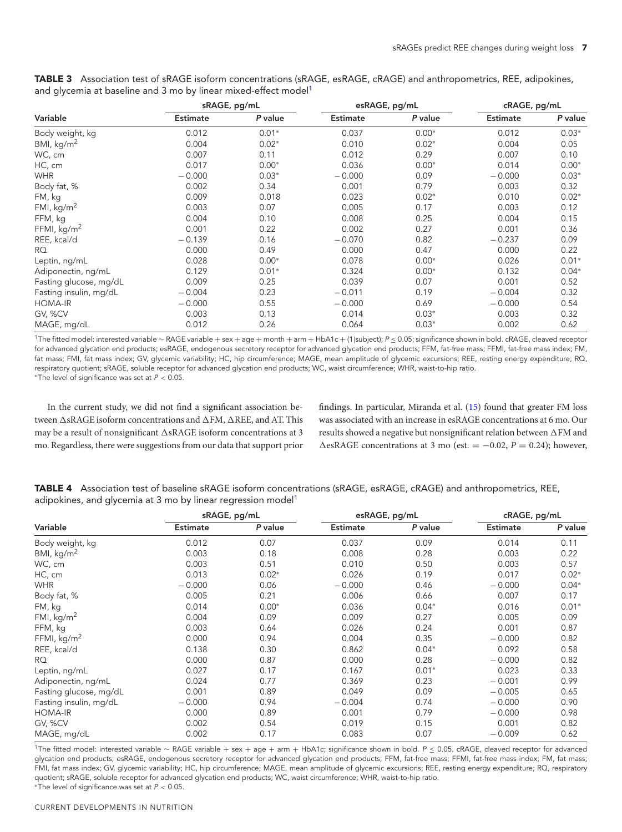|                        | sRAGE, pg/mL    |         | esRAGE, pg/mL   |         | cRAGE, pg/mL    |         |
|------------------------|-----------------|---------|-----------------|---------|-----------------|---------|
| Variable               | <b>Estimate</b> | P value | <b>Estimate</b> | P value | <b>Estimate</b> | P value |
| Body weight, kg        | 0.012           | $0.01*$ | 0.037           | $0.00*$ | 0.012           | $0.03*$ |
| BMI, $kg/m2$           | 0.004           | $0.02*$ | 0.010           | $0.02*$ | 0.004           | 0.05    |
| WC, cm                 | 0.007           | 0.11    | 0.012           | 0.29    | 0.007           | 0.10    |
| HC, cm                 | 0.017           | $0.00*$ | 0.036           | $0.00*$ | 0.014           | $0.00*$ |
| <b>WHR</b>             | $-0.000$        | $0.03*$ | $-0.000$        | 0.09    | $-0.000$        | $0.03*$ |
| Body fat, %            | 0.002           | 0.34    | 0.001           | 0.79    | 0.003           | 0.32    |
| FM, kg                 | 0.009           | 0.018   | 0.023           | $0.02*$ | 0.010           | $0.02*$ |
| FMI, $\text{kg/m}^2$   | 0.003           | 0.07    | 0.005           | 0.17    | 0.003           | 0.12    |
| FFM, kg                | 0.004           | 0.10    | 0.008           | 0.25    | 0.004           | 0.15    |
| FFMI, $kg/m2$          | 0.001           | 0.22    | 0.002           | 0.27    | 0.001           | 0.36    |
| REE, kcal/d            | $-0.139$        | 0.16    | $-0.070$        | 0.82    | $-0.237$        | 0.09    |
| RQ                     | 0.000           | 0.49    | 0.000           | 0.47    | 0.000           | 0.22    |
| Leptin, ng/mL          | 0.028           | $0.00*$ | 0.078           | $0.00*$ | 0.026           | $0.01*$ |
| Adiponectin, ng/mL     | 0.129           | $0.01*$ | 0.324           | $0.00*$ | 0.132           | $0.04*$ |
| Fasting glucose, mg/dL | 0.009           | 0.25    | 0.039           | 0.07    | 0.001           | 0.52    |
| Fasting insulin, mg/dL | $-0.004$        | 0.23    | $-0.011$        | 0.19    | $-0.004$        | 0.32    |
| <b>HOMA-IR</b>         | $-0.000$        | 0.55    | $-0.000$        | 0.69    | $-0.000$        | 0.54    |
| GV, %CV                | 0.003           | 0.13    | 0.014           | $0.03*$ | 0.003           | 0.32    |
| MAGE, mg/dL            | 0.012           | 0.26    | 0.064           | $0.03*$ | 0.002           | 0.62    |

<span id="page-6-0"></span>**TABLE 3** Association test of sRAGE isoform concentrations (sRAGE, esRAGE, cRAGE) and anthropometrics, REE, adipokines, and glycemia at baseline and 3 mo by linear mixed-effect model<sup>1</sup>

1The fitted model: interested variable <sup>∼</sup> RAGE variable <sup>+</sup> sex <sup>+</sup> age <sup>+</sup> month <sup>+</sup> arm <sup>+</sup> HbA1c <sup>+</sup> (1|subject); <sup>P</sup> <sup>≤</sup> 0.05; significance shown in bold. cRAGE, cleaved receptor for advanced glycation end products; esRAGE, endogenous secretory receptor for advanced glycation end products; FFM, fat-free mass; FFMI, fat-free mass index; FM, fat mass; FMI, fat mass index; GV, glycemic variability; HC, hip circumference; MAGE, mean amplitude of glycemic excursions; REE, resting energy expenditure; RQ, respiratory quotient; sRAGE, soluble receptor for advanced glycation end products; WC, waist circumference; WHR, waist-to-hip ratio. ∗The level of significance was set at P < 0.05.

In the current study, we did not find a significant association between  $\Delta$ sRAGE isoform concentrations and  $\Delta$ FM,  $\Delta$ REE, and AT. This may be a result of nonsignificant  $\triangle$ sRAGE isoform concentrations at 3 mo. Regardless, there were suggestions from our data that support prior findings. In particular, Miranda et al. [\(15\)](#page-9-3) found that greater FM loss was associated with an increase in esRAGE concentrations at 6 mo. Our results showed a negative but nonsignificant relation between  $\Delta \text{FM}$  and  $\triangle$ esRAGE concentrations at 3 mo (est. = -0.02,  $P = 0.24$ ); however,

<span id="page-6-1"></span>**TABLE 4** Association test of baseline sRAGE isoform concentrations (sRAGE, esRAGE, cRAGE) and anthropometrics, REE, adipokines, and glycemia at 3 mo by linear regression model<sup>1</sup>

|                        | sRAGE, pg/mL    |         | esRAGE, pg/mL   |         | cRAGE, pg/mL    |         |
|------------------------|-----------------|---------|-----------------|---------|-----------------|---------|
| Variable               | <b>Estimate</b> | P value | <b>Estimate</b> | P value | <b>Estimate</b> | P value |
| Body weight, kg        | 0.012           | 0.07    | 0.037           | 0.09    | 0.014           | 0.11    |
| BMI, $kg/m2$           | 0.003           | 0.18    | 0.008           | 0.28    | 0.003           | 0.22    |
| WC, cm                 | 0.003           | 0.51    | 0.010           | 0.50    | 0.003           | 0.57    |
| HC, cm                 | 0.013           | $0.02*$ | 0.026           | 0.19    | 0.017           | $0.02*$ |
| <b>WHR</b>             | $-0.000$        | 0.06    | $-0.000$        | 0.46    | $-0.000$        | $0.04*$ |
| Body fat, %            | 0.005           | 0.21    | 0.006           | 0.66    | 0.007           | 0.17    |
| FM, kg                 | 0.014           | $0.00*$ | 0.036           | $0.04*$ | 0.016           | $0.01*$ |
| FMI, $kg/m2$           | 0.004           | 0.09    | 0.009           | 0.27    | 0.005           | 0.09    |
| FFM, kg                | 0.003           | 0.64    | 0.026           | 0.24    | 0.001           | 0.87    |
| FFMI, $kg/m2$          | 0.000           | 0.94    | 0.004           | 0.35    | $-0.000$        | 0.82    |
| REE, kcal/d            | 0.138           | 0.30    | 0.862           | $0.04*$ | 0.092           | 0.58    |
| RQ                     | 0.000           | 0.87    | 0.000           | 0.28    | $-0.000$        | 0.82    |
| Leptin, ng/mL          | 0.027           | 0.17    | 0.167           | $0.01*$ | 0.023           | 0.33    |
| Adiponectin, ng/mL     | 0.024           | 0.77    | 0.369           | 0.23    | $-0.001$        | 0.99    |
| Fasting glucose, mg/dL | 0.001           | 0.89    | 0.049           | 0.09    | $-0.005$        | 0.65    |
| Fasting insulin, mg/dL | $-0.000$        | 0.94    | $-0.004$        | 0.74    | $-0.000$        | 0.90    |
| <b>HOMA-IR</b>         | 0.000           | 0.89    | 0.001           | 0.79    | $-0.000$        | 0.98    |
| GV, %CV                | 0.002           | 0.54    | 0.019           | 0.15    | 0.001           | 0.82    |
| MAGE, mg/dL            | 0.002           | 0.17    | 0.083           | 0.07    | $-0.009$        | 0.62    |

1The fitted model: interested variable <sup>∼</sup> RAGE variable <sup>+</sup> sex <sup>+</sup> age <sup>+</sup> arm <sup>+</sup> HbA1c; significance shown in bold. <sup>P</sup> <sup>≤</sup> 0.05. cRAGE, cleaved receptor for advanced glycation end products; esRAGE, endogenous secretory receptor for advanced glycation end products; FFM, fat-free mass; FFMI, fat-free mass index; FM, fat mass; FMI, fat mass index; GV, glycemic variability; HC, hip circumference; MAGE, mean amplitude of glycemic excursions; REE, resting energy expenditure; RQ, respiratory quotient; sRAGE, soluble receptor for advanced glycation end products; WC, waist circumference; WHR, waist-to-hip ratio. \*The level of significance was set at  $P < 0.05$ .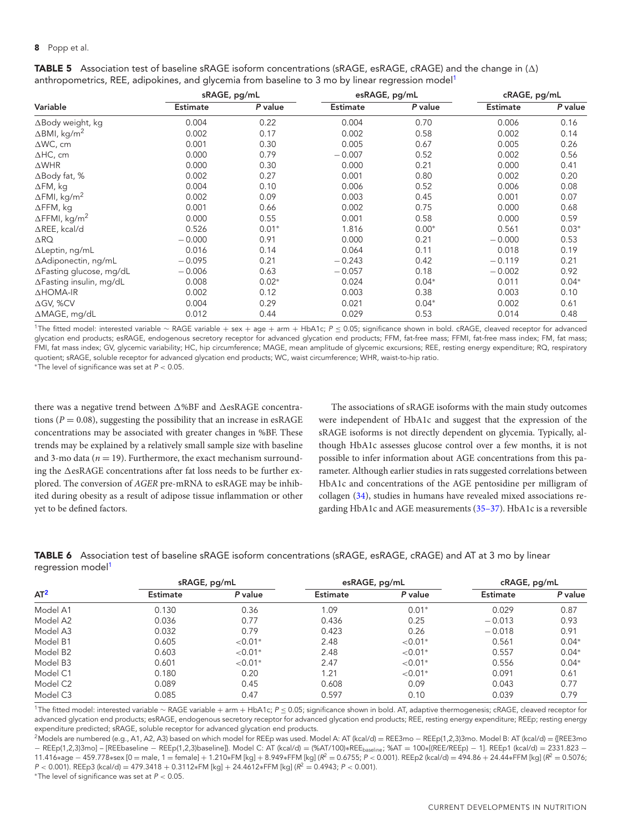## **8** Popp et al.

|                                  | sRAGE, pg/mL    |         | esRAGE, pg/mL   |         | cRAGE, pg/mL    |         |
|----------------------------------|-----------------|---------|-----------------|---------|-----------------|---------|
| Variable                         | <b>Estimate</b> | P value | <b>Estimate</b> | P value | <b>Estimate</b> | P value |
| $\Delta$ Body weight, kg         | 0.004           | 0.22    | 0.004           | 0.70    | 0.006           | 0.16    |
| $\Delta$ BMI, kg/m <sup>2</sup>  | 0.002           | 0.17    | 0.002           | 0.58    | 0.002           | 0.14    |
| $\triangle$ WC, cm               | 0.001           | 0.30    | 0.005           | 0.67    | 0.005           | 0.26    |
| $\triangle$ HC, cm               | 0.000           | 0.79    | $-0.007$        | 0.52    | 0.002           | 0.56    |
| $\triangle WHR$                  | 0.000           | 0.30    | 0.000           | 0.21    | 0.000           | 0.41    |
| $\triangle$ Body fat, %          | 0.002           | 0.27    | 0.001           | 0.80    | 0.002           | 0.20    |
| $\Delta$ FM, kg                  | 0.004           | 0.10    | 0.006           | 0.52    | 0.006           | 0.08    |
| $\Delta$ FMI, kg/m <sup>2</sup>  | 0.002           | 0.09    | 0.003           | 0.45    | 0.001           | 0.07    |
| $\Delta$ FFM, kg                 | 0.001           | 0.66    | 0.002           | 0.75    | 0.000           | 0.68    |
| $\Delta$ FFMI, kg/m <sup>2</sup> | 0.000           | 0.55    | 0.001           | 0.58    | 0.000           | 0.59    |
| $\triangle$ REE, kcal/d          | 0.526           | $0.01*$ | 1.816           | $0.00*$ | 0.561           | $0.03*$ |
| $\triangle$ RQ                   | $-0.000$        | 0.91    | 0.000           | 0.21    | $-0.000$        | 0.53    |
| $\Delta$ Leptin, ng/mL           | 0.016           | 0.14    | 0.064           | 0.11    | 0.018           | 0.19    |
| ∆Adiponectin, ng/mL              | $-0.095$        | 0.21    | $-0.243$        | 0.42    | $-0.119$        | 0.21    |
| $\Delta$ Fasting glucose, mg/dL  | $-0.006$        | 0.63    | $-0.057$        | 0.18    | $-0.002$        | 0.92    |
| $\Delta$ Fasting insulin, mg/dL  | 0.008           | $0.02*$ | 0.024           | $0.04*$ | 0.011           | $0.04*$ |
| $\triangle$ HOMA-IR              | 0.002           | 0.12    | 0.003           | 0.38    | 0.003           | 0.10    |
| $\Delta$ GV, %CV                 | 0.004           | 0.29    | 0.021           | $0.04*$ | 0.002           | 0.61    |
| ∆MAGE, mg/dL                     | 0.012           | 0.44    | 0.029           | 0.53    | 0.014           | 0.48    |

<span id="page-7-0"></span>**TABLE 5** Association test of baseline sRAGE isoform concentrations (sRAGE, esRAGE, cRAGE) and the change in ( $\Delta$ ) anthropometrics, REE, adipokines, and glycemia from baseline to 3 mo by linear regression model<sup>1</sup>

1The fitted model: interested variable <sup>∼</sup> RAGE variable <sup>+</sup> sex <sup>+</sup> age <sup>+</sup> arm <sup>+</sup> HbA1c; <sup>P</sup> <sup>≤</sup> 0.05; significance shown in bold. cRAGE, cleaved receptor for advanced glycation end products; esRAGE, endogenous secretory receptor for advanced glycation end products; FFM, fat-free mass; FFMI, fat-free mass index; FM, fat mass; FMI, fat mass index; GV, glycemic variability; HC, hip circumference; MAGE, mean amplitude of glycemic excursions; REE, resting energy expenditure; RQ, respiratory quotient; sRAGE, soluble receptor for advanced glycation end products; WC, waist circumference; WHR, waist-to-hip ratio. ∗The level of significance was set at P < 0.05.

there was a negative trend between  $\Delta \% \mathrm{BF}$  and  $\Delta$ esRAGE concentrations ( $P = 0.08$ ), suggesting the possibility that an increase in esRAGE concentrations may be associated with greater changes in %BF. These trends may be explained by a relatively small sample size with baseline and 3-mo data ( $n = 19$ ). Furthermore, the exact mechanism surrounding the  $\Delta$ esRAGE concentrations after fat loss needs to be further explored. The conversion of *AGER* pre-mRNA to esRAGE may be inhibited during obesity as a result of adipose tissue inflammation or other yet to be defined factors.

The associations of sRAGE isoforms with the main study outcomes were independent of HbA1c and suggest that the expression of the sRAGE isoforms is not directly dependent on glycemia. Typically, although HbA1c assesses glucose control over a few months, it is not possible to infer information about AGE concentrations from this parameter. Although earlier studies in rats suggested correlations between HbA1c and concentrations of the AGE pentosidine per milligram of collagen [\(34\)](#page-9-20), studies in humans have revealed mixed associations regarding HbA1c and AGE measurements [\(35–37\)](#page-9-21). HbA1c is a reversible

<span id="page-7-1"></span>**TABLE 6** Association test of baseline sRAGE isoform concentrations (sRAGE, esRAGE, cRAGE) and AT at 3 mo by linear regression model<sup>1</sup>

| $AT^2$               | sRAGE, pg/mL    |            | esRAGE, pg/mL   |            | cRAGE, pg/mL    |         |
|----------------------|-----------------|------------|-----------------|------------|-----------------|---------|
|                      | <b>Estimate</b> | P value    | <b>Estimate</b> | P value    | <b>Estimate</b> | P value |
| Model A1             | 0.130           | 0.36       | 1.09            | $0.01*$    | 0.029           | 0.87    |
| Model A2             | 0.036           | 0.77       | 0.436           | 0.25       | $-0.013$        | 0.93    |
| Model A3             | 0.032           | 0.79       | 0.423           | 0.26       | $-0.018$        | 0.91    |
| Model B1             | 0.605           | ${<}0.01*$ | 2.48            | ${<}0.01*$ | 0.561           | $0.04*$ |
| Model B <sub>2</sub> | 0.603           | ${<}0.01*$ | 2.48            | ${<}0.01*$ | 0.557           | $0.04*$ |
| Model B3             | 0.601           | ${<}0.01*$ | 2.47            | ${<}0.01*$ | 0.556           | $0.04*$ |
| Model C1             | 0.180           | 0.20       | 1.21            | ${<}0.01*$ | 0.091           | 0.61    |
| Model C <sub>2</sub> | 0.089           | 0.45       | 0.608           | 0.09       | 0.043           | 0.77    |
| Model C3             | 0.085           | 0.47       | 0.597           | 0.10       | 0.039           | 0.79    |

1The fitted model: interested variable <sup>∼</sup> RAGE variable <sup>+</sup> arm <sup>+</sup> HbA1c; <sup>P</sup> <sup>≤</sup> 0.05; significance shown in bold. AT, adaptive thermogenesis; cRAGE, cleaved receptor for advanced glycation end products; esRAGE, endogenous secretory receptor for advanced glycation end products; REE, resting energy expenditure; REEp; resting energy expenditure predicted; sRAGE, soluble receptor for advanced glycation end products.

2Models are numbered (e.g., A1, A2, A3) based on which model for REEp was used. Model A: AT (kcal/d) <sup>=</sup> REE3mo <sup>−</sup> REEp(1,2,3)3mo. Model B: AT (kcal/d) <sup>=</sup> {[REE3mo − REEp(1,2,3)3mo] – [REEbaseline − REEp(1,2,3)baseline]}. Model C: AT (kcal/d) = (%AT/100)∗REEbaseline; %AT = 100∗[(REE/REEp) − 1]. REEp1 (kcal/d) = 2331.823 − 11.416∗age – 459.778∗sex [0 = male, 1 = female] + 1.210∗FM [kg] + 8.949∗FFM [kg] (R<sup>2</sup> = 0.6755; P < 0.001). REEp2 (kcal/d) = 494.86 + 24.44∗FFM [kg] (R<sup>2</sup> = 0.5076;  $P < 0.001$ ). REEp3 (kcal/d) = 479.3418 + 0.3112∗FM [kg] + 24.4612∗FFM [kg] ( $R^2 = 0.4943$ ; P < 0.001).

\*The level of significance was set at  $P < 0.05$ .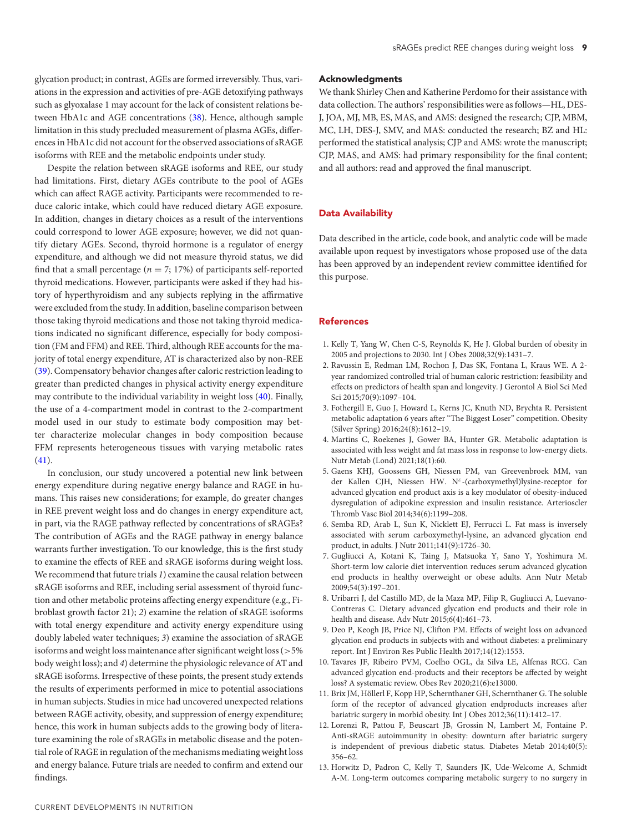glycation product; in contrast, AGEs are formed irreversibly. Thus, variations in the expression and activities of pre-AGE detoxifying pathways such as glyoxalase 1 may account for the lack of consistent relations between HbA1c and AGE concentrations [\(38\)](#page-9-22). Hence, although sample limitation in this study precluded measurement of plasma AGEs, differences in HbA1c did not account for the observed associations of sRAGE isoforms with REE and the metabolic endpoints under study.

Despite the relation between sRAGE isoforms and REE, our study had limitations. First, dietary AGEs contribute to the pool of AGEs which can affect RAGE activity. Participants were recommended to reduce caloric intake, which could have reduced dietary AGE exposure. In addition, changes in dietary choices as a result of the interventions could correspond to lower AGE exposure; however, we did not quantify dietary AGEs. Second, thyroid hormone is a regulator of energy expenditure, and although we did not measure thyroid status, we did find that a small percentage ( $n = 7$ ; 17%) of participants self-reported thyroid medications. However, participants were asked if they had history of hyperthyroidism and any subjects replying in the affirmative were excluded from the study. In addition, baseline comparison between those taking thyroid medications and those not taking thyroid medications indicated no significant difference, especially for body composition (FM and FFM) and REE. Third, although REE accounts for the majority of total energy expenditure, AT is characterized also by non-REE [\(39\)](#page-9-23). Compensatory behavior changes after caloric restriction leading to greater than predicted changes in physical activity energy expenditure may contribute to the individual variability in weight loss [\(40\)](#page-9-24). Finally, the use of a 4-compartment model in contrast to the 2-compartment model used in our study to estimate body composition may better characterize molecular changes in body composition because FFM represents heterogeneous tissues with varying metabolic rates  $(41).$  $(41).$ 

In conclusion, our study uncovered a potential new link between energy expenditure during negative energy balance and RAGE in humans. This raises new considerations; for example, do greater changes in REE prevent weight loss and do changes in energy expenditure act, in part, via the RAGE pathway reflected by concentrations of sRAGEs? The contribution of AGEs and the RAGE pathway in energy balance warrants further investigation. To our knowledge, this is the first study to examine the effects of REE and sRAGE isoforms during weight loss. We recommend that future trials *1*) examine the causal relation between sRAGE isoforms and REE, including serial assessment of thyroid function and other metabolic proteins affecting energy expenditure (e.g., Fibroblast growth factor 21); *2*) examine the relation of sRAGE isoforms with total energy expenditure and activity energy expenditure using doubly labeled water techniques; *3*) examine the association of sRAGE isoforms and weight loss maintenance after significant weight loss (>5% body weight loss); and *4*) determine the physiologic relevance of AT and sRAGE isoforms. Irrespective of these points, the present study extends the results of experiments performed in mice to potential associations in human subjects. Studies in mice had uncovered unexpected relations between RAGE activity, obesity, and suppression of energy expenditure; hence, this work in human subjects adds to the growing body of literature examining the role of sRAGEs in metabolic disease and the potential role of RAGE in regulation of the mechanisms mediating weight loss and energy balance. Future trials are needed to confirm and extend our findings.

## **Acknowledgments**

We thank Shirley Chen and Katherine Perdomo for their assistance with data collection. The authors' responsibilities were as follows—HL, DES-J, JOA, MJ, MB, ES, MAS, and AMS: designed the research; CJP, MBM, MC, LH, DES-J, SMV, and MAS: conducted the research; BZ and HL: performed the statistical analysis; CJP and AMS: wrote the manuscript; CJP, MAS, and AMS: had primary responsibility for the final content; and all authors: read and approved the final manuscript.

# **Data Availability**

Data described in the article, code book, and analytic code will be made available upon request by investigators whose proposed use of the data has been approved by an independent review committee identified for this purpose.

# **References**

- <span id="page-8-0"></span>1. Kelly T, Yang W, Chen C-S, Reynolds K, He J. Global burden of obesity in 2005 and projections to 2030. Int J Obes 2008;32(9):1431–7.
- <span id="page-8-1"></span>2. Ravussin E, Redman LM, Rochon J, Das SK, Fontana L, Kraus WE. A 2 year randomized controlled trial of human caloric restriction: feasibility and effects on predictors of health span and longevity. J Gerontol A Biol Sci Med Sci 2015;70(9):1097–104.
- <span id="page-8-2"></span>3. Fothergill E, Guo J, Howard L, Kerns JC, Knuth ND, Brychta R. Persistent metabolic adaptation 6 years after "The Biggest Loser" competition. Obesity (Silver Spring) 2016;24(8):1612–19.
- <span id="page-8-3"></span>4. Martins C, Roekenes J, Gower BA, Hunter GR. Metabolic adaptation is associated with less weight and fat mass loss in response to low-energy diets. Nutr Metab (Lond) 2021;18(1):60.
- <span id="page-8-4"></span>5. Gaens KHJ, Goossens GH, Niessen PM, van Greevenbroek MM, van der Kallen CJH, Niessen HW. N<sup>ε</sup>-(carboxymethyl)lysine-receptor for advanced glycation end product axis is a key modulator of obesity-induced dysregulation of adipokine expression and insulin resistance. Arterioscler Thromb Vasc Biol 2014;34(6):1199–208.
- <span id="page-8-5"></span>6. Semba RD, Arab L, Sun K, Nicklett EJ, Ferrucci L. Fat mass is inversely associated with serum carboxymethyl-lysine, an advanced glycation end product, in adults. J Nutr 2011;141(9):1726–30.
- <span id="page-8-6"></span>7. Gugliucci A, Kotani K, Taing J, Matsuoka Y, Sano Y, Yoshimura M. Short-term low calorie diet intervention reduces serum advanced glycation end products in healthy overweight or obese adults. Ann Nutr Metab 2009;54(3):197–201.
- 8. Uribarri J, del Castillo MD, de la Maza MP, Filip R, Gugliucci A, Luevano-Contreras C. Dietary advanced glycation end products and their role in health and disease. Adv Nutr 2015;6(4):461–73.
- 9. Deo P, Keogh JB, Price NJ, Clifton PM. Effects of weight loss on advanced glycation end products in subjects with and without diabetes: a preliminary report. Int J Environ Res Public Health 2017;14(12):1553.
- <span id="page-8-7"></span>10. Tavares JF, Ribeiro PVM, Coelho OGL, da Silva LE, Alfenas RCG. Can advanced glycation end-products and their receptors be affected by weight loss? A systematic review. Obes Rev 2020;21(6):e13000.
- <span id="page-8-8"></span>11. Brix JM, Höllerl F, Kopp HP, Schernthaner GH, Schernthaner G. The soluble form of the receptor of advanced glycation endproducts increases after bariatric surgery in morbid obesity. Int J Obes 2012;36(11):1412–17.
- 12. Lorenzi R, Pattou F, Beuscart JB, Grossin N, Lambert M, Fontaine P. Anti-sRAGE autoimmunity in obesity: downturn after bariatric surgery is independent of previous diabetic status. Diabetes Metab 2014;40(5): 356–62.
- 13. Horwitz D, Padron C, Kelly T, Saunders JK, Ude-Welcome A, Schmidt A-M. Long-term outcomes comparing metabolic surgery to no surgery in